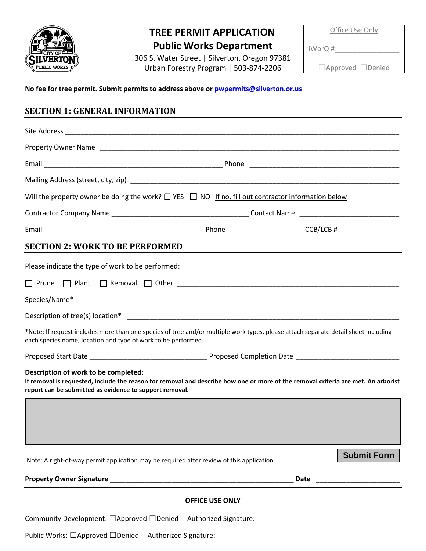

## **TREE PERMIT APPLICATION**

**Public Works Department**  306 S. Water Street | Silverton, Oregon 97381 Urban Forestry Program | 503-874-2206

Office Use Only

iWorQ #\_\_\_\_\_\_\_\_\_\_\_\_\_\_\_\_\_

☐Approved ☐Denied

**No fee for tree permit. Submit per[mits to address above or pwpe](mailto:pwpermits@silverton.or.us)rmits@silverton.or.us**

## **SECTION 1: GENERAL INFORMATION**

| Will the property owner be doing the work? $\Box$ YES $\Box$ NO If no, fill out contractor information below                                                                                                                                                                                                                                                                                                                                                                                     |                                                                                |  |                    |  |
|--------------------------------------------------------------------------------------------------------------------------------------------------------------------------------------------------------------------------------------------------------------------------------------------------------------------------------------------------------------------------------------------------------------------------------------------------------------------------------------------------|--------------------------------------------------------------------------------|--|--------------------|--|
|                                                                                                                                                                                                                                                                                                                                                                                                                                                                                                  |                                                                                |  |                    |  |
|                                                                                                                                                                                                                                                                                                                                                                                                                                                                                                  |                                                                                |  |                    |  |
| <b>SECTION 2: WORK TO BE PERFORMED</b>                                                                                                                                                                                                                                                                                                                                                                                                                                                           |                                                                                |  |                    |  |
| Please indicate the type of work to be performed:<br>*Note: If request includes more than one species of tree and/or multiple work types, please attach separate detail sheet including<br>each species name, location and type of work to be performed.<br>Description of work to be completed:<br>If removal is requested, include the reason for removal and describe how one or more of the removal criteria are met. An arborist<br>report can be submitted as evidence to support removal. |                                                                                |  |                    |  |
| Note: A right-of-way permit application may be required after review of this application.                                                                                                                                                                                                                                                                                                                                                                                                        |                                                                                |  | <b>Submit Form</b> |  |
| Community Development: □Approved □Denied                                                                                                                                                                                                                                                                                                                                                                                                                                                         | <b>OFFICE USE ONLY</b><br>Authorized Signature: National Authorized Signature: |  |                    |  |
|                                                                                                                                                                                                                                                                                                                                                                                                                                                                                                  |                                                                                |  |                    |  |

Public Works: □Approved □Denied Authorized Signature: \_